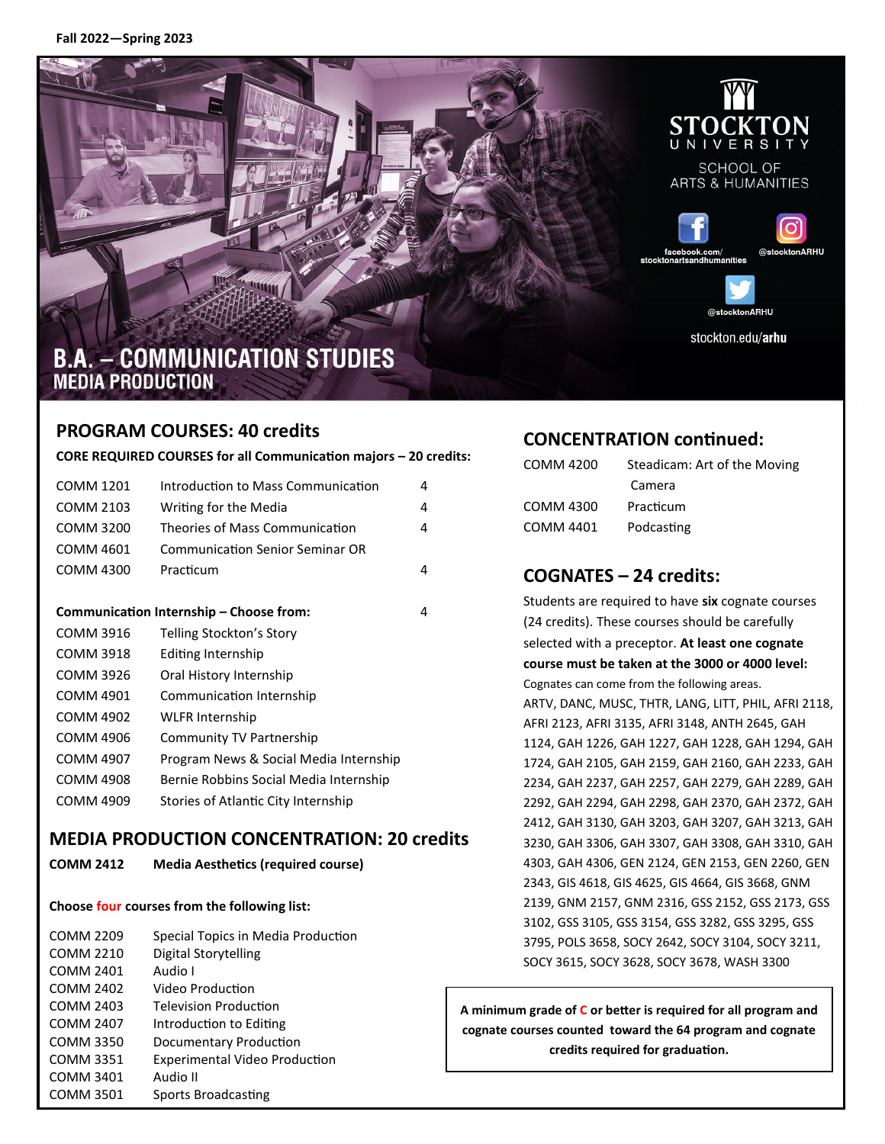

**SCHOOL OF ARTS & HUMANITIES** 





@etocktonARHII stockton.edu/arhu

# **B.A. - COMMUNICATION STUDIES MEDIA PRODUCTION**

# **PROGRAM COURSES: 40 credits**

**CORE REQUIRED COURSES for all Communication majors – 20 credits:** 

| COMM 1201                                    | Introduction to Mass Communication     | 4 |
|----------------------------------------------|----------------------------------------|---|
| COMM 2103                                    | Writing for the Media                  | 4 |
| COMM 3200                                    | Theories of Mass Communication         | 4 |
| COMM 4601                                    | <b>Communication Senior Seminar OR</b> |   |
| COMM 4300                                    | Practicum                              | 4 |
|                                              |                                        |   |
| Communication Internship – Choose from:<br>4 |                                        |   |
| COMM 3916                                    | Telling Stockton's Story               |   |
| <b>COMM 3918</b>                             | Editing Internship                     |   |
| COMM 3926                                    | Oral History Internship                |   |
| COMM 4901                                    | Communication Internship               |   |
| <b>COMM 4902</b>                             | <b>WLFR Internship</b>                 |   |
| <b>COMM 4906</b>                             | Community TV Partnership               |   |
| <b>COMM 4907</b>                             | Program News & Social Media Internship |   |
| COMM 4908                                    | Bernie Robbins Social Media Internship |   |
| <b>COMM 4909</b>                             | Stories of Atlantic City Internship    |   |
|                                              |                                        |   |

#### **MEDIA PRODUCTION CONCENTRATION: 20 credits**

**COMM 2412 Media Aesthetics (required course)**

#### **Choose four courses from the following list:**

| <b>COMM 2209</b> | Special Topics in Media Production   |
|------------------|--------------------------------------|
| COMM 2210        | Digital Storytelling                 |
| COMM 2401        | Audio I                              |
| <b>COMM 2402</b> | Video Production                     |
| <b>COMM 2403</b> | <b>Television Production</b>         |
| <b>COMM 2407</b> | Introduction to Editing              |
| <b>COMM 3350</b> | Documentary Production               |
| COMM 3351        | <b>Experimental Video Production</b> |
| <b>COMM 3401</b> | Audio II                             |
| <b>COMM 3501</b> | Sports Broadcasting                  |

# **CONCENTRATION continued:**

| <b>COMM 4200</b> | Steadicam: Art of the Moving |
|------------------|------------------------------|
|                  | Camera                       |
| COMM 4300        | Practicum                    |
| COMM 4401        | Podcasting                   |

# **COGNATES – 24 credits:**

Students are required to have **six** cognate courses (24 credits). These courses should be carefully selected with a preceptor. **At least one cognate course must be taken at the 3000 or 4000 level:**  Cognates can come from the following areas. ARTV, DANC, MUSC, THTR, LANG, LITT, PHIL, AFRI 2118, AFRI 2123, AFRI 3135, AFRI 3148, ANTH 2645, GAH 1124, GAH 1226, GAH 1227, GAH 1228, GAH 1294, GAH 1724, GAH 2105, GAH 2159, GAH 2160, GAH 2233, GAH 2234, GAH 2237, GAH 2257, GAH 2279, GAH 2289, GAH 2292, GAH 2294, GAH 2298, GAH 2370, GAH 2372, GAH 2412, GAH 3130, GAH 3203, GAH 3207, GAH 3213, GAH 3230, GAH 3306, GAH 3307, GAH 3308, GAH 3310, GAH 4303, GAH 4306, GEN 2124, GEN 2153, GEN 2260, GEN 2343, GIS 4618, GIS 4625, GIS 4664, GIS 3668, GNM 2139, GNM 2157, GNM 2316, GSS 2152, GSS 2173, GSS 3102, GSS 3105, GSS 3154, GSS 3282, GSS 3295, GSS 3795, POLS 3658, SOCY 2642, SOCY 3104, SOCY 3211, SOCY 3615, SOCY 3628, SOCY 3678, WASH 3300

**A minimum grade of C or better is required for all program and cognate courses counted toward the 64 program and cognate credits required for graduation.**